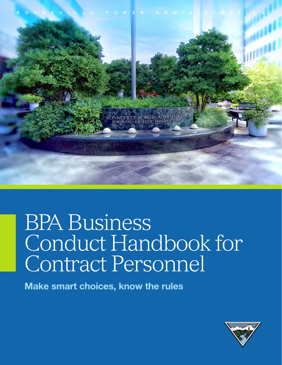



# BPA Business Conduct Handbook for Contract Personnel

Make smart choices, know the rules

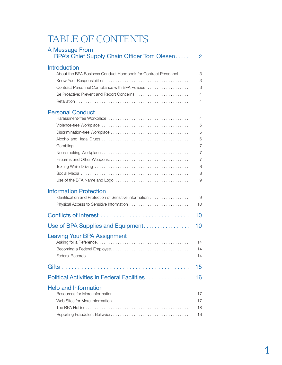# TABLE OF CONTENTS

| A Message From<br>BPA's Chief Supply Chain Officer Tom Olesen                                                                                                                         | $\overline{2}$                                                           |
|---------------------------------------------------------------------------------------------------------------------------------------------------------------------------------------|--------------------------------------------------------------------------|
| <b>Introduction</b><br>About the BPA Business Conduct Handbook for Contract Personnel<br>Contract Personnel Compliance with BPA Policies<br>Be Proactive: Prevent and Report Concerns | 3<br>3<br>3<br>4<br>4                                                    |
| <b>Personal Conduct</b>                                                                                                                                                               | 4<br>5<br>5<br>6<br>$\overline{7}$<br>7<br>$\overline{7}$<br>8<br>8<br>9 |
| <b>Information Protection</b><br>Identification and Protection of Sensitive Information                                                                                               | 9<br>10                                                                  |
|                                                                                                                                                                                       | 10                                                                       |
| Use of BPA Supplies and Equipment                                                                                                                                                     | 10                                                                       |
| <b>Leaving Your BPA Assignment</b>                                                                                                                                                    | 14<br>14<br>14                                                           |
|                                                                                                                                                                                       | 15                                                                       |
| Political Activities in Federal Facilities                                                                                                                                            | 16                                                                       |
| <b>Help and Information</b>                                                                                                                                                           | 17<br>17<br>18<br>18                                                     |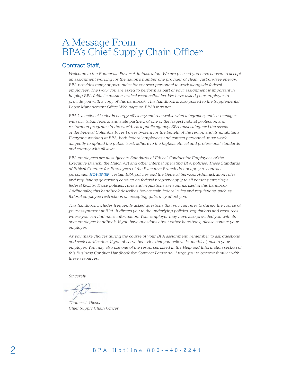## A Message From BPA's Chief Supply Chain Officer

### Contract Staff,

*Welcome to the Bonneville Power Administration. We are pleased you have chosen to accept an assignment working for the nation's number one provider of clean, carbon-free energy. BPA provides many opportunities for contract personnel to work alongside federal employees. The work you are asked to perform as part of your assignment is important in helping BPA fulfill its mission-critical responsibilities. We have asked your employer to provide you with a copy of this handbook. This handbook is also posted to the Supplemental Labor Management Office Web page on BPA's intranet.*

*BPA is a national leader in energy efficiency and renewable wind integration, and co-manager with our tribal, federal and state partners of one of the largest habitat protection and restoration programs in the world. As a public agency, BPA must safeguard the assets of the Federal Columbia River Power System for the benefit of the region and its inhabitants. Everyone working at BPA, both federal employees and contact personnel, must work diligently to uphold the public trust, adhere to the highest ethical and professional standards and comply with all laws.* 

*BPA employees are all subject to Standards of Ethical Conduct for Employees of the Executive Branch, the Hatch Act and other internal operating BPA policies. These Standards of Ethical Conduct for Employees of the Executive Branch do not apply to contract personnel. HOWEVER, certain BPA policies and the General Services Administration rules and regulations governing conduct on federal property apply to all persons entering a federal facility. Those policies, rules and regulations are summarized in this handbook. Additionally, this handbook describes how certain federal rules and regulations, such as federal employee restrictions on accepting gifts, may affect you.*

*This handbook includes frequently asked questions that you can refer to during the course of your assignment at BPA. It directs you to the underlying policies, regulations and resources where you can find more information. Your employer may have also provided you with its own employee handbook. If you have questions about either handbook, please contact your employer.* 

*As you make choices during the course of your BPA assignment, remember to ask questions and seek clarification. If you observe behavior that you believe is unethical, talk to your employer. You may also use one of the resources listed in the Help and Information section of this Business Conduct Handbook for Contract Personnel. I urge you to become familiar with these resources.* 

*Sincerely,*

*Thomas J. Olesen Chief Supply Chain Officer*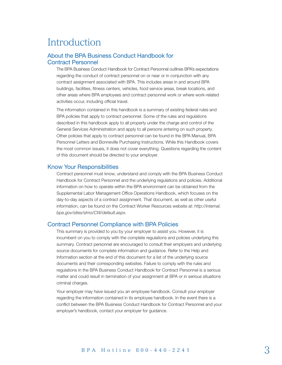## Introduction

#### <span id="page-4-0"></span>About the BPA Business Conduct Handbook for Contract Personnel

The BPA Business Conduct Handbook for Contract Personnel outlines BPA's expectations regarding the conduct of contract personnel on or near or in conjunction with any contract assignment associated with BPA. This includes areas in and around BPA buildings, facilities, fitness centers, vehicles, food service areas, break locations, and other areas where BPA employees and contract personnel work or where work-related activities occur, including official travel.

The information contained in this handbook is a summary of existing federal rules and BPA policies that apply to contract personnel. Some of the rules and regulations described in this handbook apply to all property under the charge and control of the General Services Administration and apply to all persons entering on such property. Other policies that apply to contract personnel can be found in the BPA Manual, BPA Personnel Letters and Bonneville Purchasing Instructions. While this Handbook covers the most common issues, it does not cover everything. Questions regarding the content of this document should be directed to your employer.

#### <span id="page-4-1"></span>Know Your Responsibilities

Contract personnel must know, understand and comply with the BPA Business Conduct Handbook for Contract Personnel and the underlying regulations and policies. Additional information on how to operate within the BPA environment can be obtained from the Supplemental Labor Management Office Operations Handbook, which focuses on the day-to-day aspects of a contract assignment. That document, as well as other useful information, can be found on the Contract Worker Resources website at: *[http://internal.](http://internal.bpa.gov/sites/slmo/CW/default.aspx) [bpa.gov/sites/slmo/CW/default.aspx](http://internal.bpa.gov/sites/slmo/CW/default.aspx)*.

#### <span id="page-4-2"></span>Contract Personnel Compliance with BPA Policies

This summary is provided to you by your employer to assist you. However, it is incumbent on you to comply with the complete regulations and policies underlying this summary. Contract personnel are encouraged to consult their employers and underlying source documents for complete information and guidance. Refer to the Help and Information section at the end of this document for a list of the underlying source documents and their corresponding websites. Failure to comply with the rules and regulations in the BPA Business Conduct Handbook for Contract Personnel is a serious matter and could result in termination of your assignment at BPA or in serious situations criminal charges.

Your employer may have issued you an employee handbook. Consult your employer regarding the information contained in its employee handbook. In the event there is a conflict between the BPA Business Conduct Handbook for Contract Personnel and your employer's handbook, contact your employer for guidance.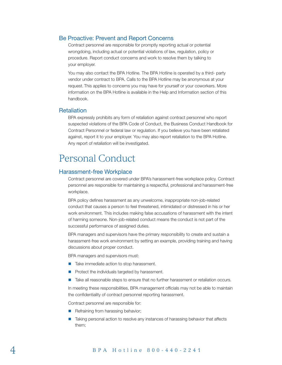### <span id="page-5-0"></span>Be Proactive: Prevent and Report Concerns

Contract personnel are responsible for promptly reporting actual or potential wrongdoing, including actual or potential violations of law, regulation, policy or procedure. Report conduct concerns and work to resolve them by talking to your employer.

You may also contact the BPA Hotline. The BPA Hotline is operated by a third- party vendor under contract to BPA. Calls to the BPA Hotline may be anonymous at your request. This applies to concerns you may have for yourself or your coworkers. More information on the BPA Hotline is available in the Help and Information section of this handbook.

#### <span id="page-5-1"></span>**Retaliation**

BPA expressly prohibits any form of retaliation against contract personnel who report suspected violations of the BPA Code of Conduct, the Business Conduct Handbook for Contract Personnel or federal law or regulation. If you believe you have been retaliated against, report it to your employer. You may also report retaliation to the BPA Hotline. Any report of retaliation will be investigated.

## <span id="page-5-2"></span>Personal Conduct

#### <span id="page-5-3"></span>Harassment-free Workplace

Contract personnel are covered under BPA's harassment-free workplace policy. Contract personnel are responsible for maintaining a respectful, professional and harassment-free workplace.

BPA policy defines harassment as any unwelcome, inappropriate non-job-related conduct that causes a person to feel threatened, intimidated or distressed in his or her work environment. This includes making false accusations of harassment with the intent of harming someone. Non-job-related conduct means the conduct is not part of the successful performance of assigned duties.

BPA managers and supervisors have the primary responsibility to create and sustain a harassment-free work environment by setting an example, providing training and having discussions about proper conduct.

BPA managers and supervisors must:

- Take immediate action to stop harassment.
- $\blacksquare$  Protect the individuals targeted by harassment.
- **Take all reasonable steps to ensure that no further harassment or retaliation occurs.**

In meeting these responsibilities, BPA management officials may not be able to maintain the confidentiality of contract personnel reporting harassment.

Contract personnel are responsible for:

- $\blacksquare$  Refraining from harassing behavior;
- Taking personal action to resolve any instances of harassing behavior that affects them;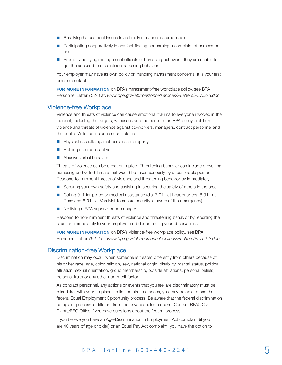- Resolving harassment issues in as timely a manner as practicable;
- **Participating cooperatively in any fact-finding concerning a complaint of harassment;** and
- **Promptly notifying management officials of harassing behavior if they are unable to** get the accused to discontinue harassing behavior.

Your employer may have its own policy on handling harassment concerns. It is your first point of contact.

FOR MORE INFORMATION on BPA's harassment-free workplace policy, see BPA Personnel Letter 752-3 at: *[www.bpa.gov/ebr/personnelservices/PLetters/PL752-3.doc](http://www.bpa.gov/ebr/personnelservices/PLetters/PL752-3.doc)*.

#### <span id="page-6-0"></span>Violence-free Workplace

Violence and threats of violence can cause emotional trauma to everyone involved in the incident, including the targets, witnesses and the perpetrator. BPA policy prohibits violence and threats of violence against co-workers, managers, contract personnel and the public. Violence includes such acts as:

- **Physical assaults against persons or property.**
- Holding a person captive.
- Abusive verbal behavior.

[Threats of violence can be direct or implied. Threatening behavior can include provoking,](http://www.bpa.gov/ebr/personnelservices/PLetters/PL752-2.doc)  harassing and veiled threats that would be taken seriously by a reasonable person. Respond to imminent threats of violence and threatening behavior by immediately:

- Securing your own safety and assisting in securing the safety of others in the area.
- Calling 911 for police or medical assistance (dial 7-911 at headquarters, 8-911 at Ross and 6-911 at Van Mall to ensure security is aware of the emergency).
- Notifying a BPA supervisor or manager.

Respond to non-imminent threats of violence and threatening behavior by reporting the situation immediately to your employer and documenting your observations.

FOR MORE INFORMATION on BPA's violence-free workplace policy, see BPA Personnel Letter 752-2 at: *[www.bpa.gov/ebr/personnelservices/PLetters/PL752-2.doc](http://www.bpa.gov/ebr/personnelservices/PLetters/PL752-2.doc)*.

#### <span id="page-6-1"></span>Discrimination-free Workplace

Discrimination may occur when someone is treated differently from others because of his or her race, age, color, religion, sex, national origin, disability, marital status, political affiliation, sexual orientation, group membership, outside affiliations, personal beliefs, personal traits or any other non-merit factor.

As contract personnel, any actions or events that you feel are discriminatory must be raised first with your employer. In limited circumstances, you may be able to use the federal Equal Employment Opportunity process. Be aware that the federal discrimination complaint process is different from the private sector process. Contact BPA's Civil Rights/EEO Office if you have questions about the federal process.

If you believe you have an Age-Discrimination in Employment Act complaint (if you are 40 years of age or older) or an Equal Pay Act complaint, you have the option to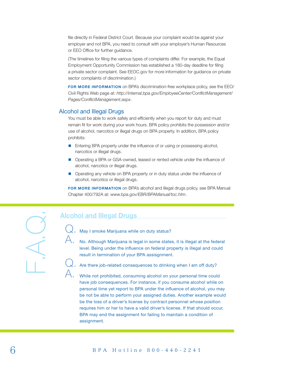file directly in Federal District Court. Because your complaint would be against your employer and not BPA, you need to consult with your employer's Human Resources or EEO Office for further guidance.

(The timelines for filing the various types of complaints differ. For example, the Equal Employment Opportunity Commission has established a 180-day deadline for filing a private sector complaint. See EEOC.gov for more information for guidance on private sector complaints of discrimination.)

FOR MORE INFORMATION on BPA's discrimination-free workplace policy, see the EEO/ Civil Rights Web page at: *[http://internal.bpa.gov/EmployeeCenter/ConflictManagement/](http://internal.bpa.gov/EmployeeCenter/ConflictManagement/Pages/ConflictManagement.aspx) [Pages/ConflictManagement.aspx](http://internal.bpa.gov/EmployeeCenter/ConflictManagement/Pages/ConflictManagement.aspx)*.

#### Alcohol and Illegal Drugs

You must be able to work safely and efficiently when you report for duty and must remain fit for work during your work hours. BPA policy prohibits the possession and/or use of alcohol, narcotics or illegal drugs on BPA property. In addition, BPA policy prohibits:

- **Entering BPA property under the influence of or using or possessing alcohol,** narcotics or illegal drugs.
- **Derating a BPA or GSA-owned, leased or rented vehicle under the influence of** alcohol, narcotics or illegal drugs.
- **Operating any vehicle on BPA property or in duty status under the influence of** alcohol, narcotics or illegal drugs.

FOR MORE INFORMATION on BPA's alcohol and illegal drugs policy, see BPA Manual Chapter 400/792A at: *[www.bpa.gov/EBR/BPAManual/toc.htm](http://www.bpa.gov/EBR/BPAManual/toc.htm)*.

## Alcohol and Illegal Drugs

Q. May I smoke Marijuana while on duty status?

No. Although Marijuana is legal in some states, it is illegal at the federal level. Being under the influence on federal property is illegal and could result in termination of your BPA assisgnment.



While not prohibited, consuming alcohol on your personal time could have job consequences. For instance, if you consume alcohol while on personal time yet report to BPA under the influence of alcohol, you may be not be able to perform your assigned duties. Another example would be the loss of a driver's license by contract personnel whose position requires him or her to have a valid driver's license. If that should occur, BPA may end the assignment for failing to maintain a condition of assignment.

F.A.Q.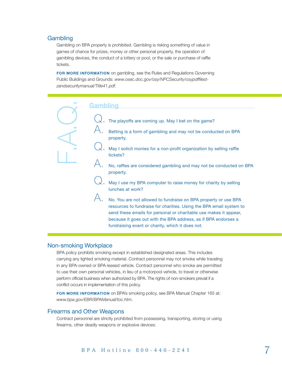#### <span id="page-8-0"></span>**Gambling**

Gambling on BPA property is prohibited. Gambling is risking something of value in games of chance for prizes, money or other personal property, the operation of gambling devices, the conduct of a lottery or pool, or the sale or purchase of raffle tickets.

FOR MORE INFORMATION on gambling, see the Rules and Regulations Governing Public Buildings and Grounds: *[www.osec.doc.gov/osy/NPCSecurity/osypdffilest](http://www.osec.doc.gov/osy/NPCSecurity/osypdffilest-zandsecuritymanual/Title41.pdf)[zandsecuritymanual/Title41.pdf](http://www.osec.doc.gov/osy/NPCSecurity/osypdffilest-zandsecuritymanual/Title41.pdf)*.



#### <span id="page-8-1"></span>Non-smoking Workplace

BPA policy prohibits smoking except in established designated areas. This includes carrying any lighted smoking material. Contract personnel may not smoke while traveling in any BPA-owned or BPA-leased vehicle. Contract personnel who smoke are permitted to use their own personal vehicles, in lieu of a motorpool vehicle, to travel or otherwise perform official business when authorized by BPA. The rights of non-smokers prevail if a conflict occurs in implementation of this policy.

FOR MORE INFORMATION on BPA's smoking policy, see BPA Manual Chapter 165 at: *[www.bpa.gov/EBR/BPAManual/toc.htm](http://www.bpa.gov/EBR/BPAManual/toc.htm)*.

#### <span id="page-8-2"></span>Firearms and Other Weapons

Contract personnel are strictly prohibited from possessing, transporting, storing or using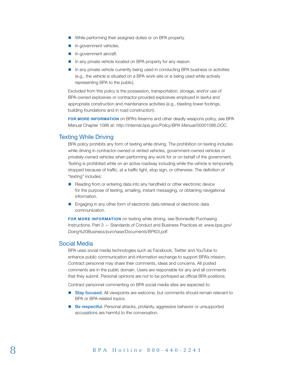- While performing their assigned duties or on BPA property.
- **n** In government vehicles.
- **In government aircraft.**
- In any private vehicle located on BPA property for any reason.
- In any private vehicle currently being used in conducting BPA business or activities (e.g., the vehicle is situated on a BPA work-site or is being used while actively representing BPA to the public).

Excluded from this policy is the possession, transportation, storage, and/or use of BPA-owned explosives or contractor-provided explosives employed in lawful and appropriate construction and maintenance activities (e.g., blasting tower footings, building foundations and in road construction).

FOR MORE INFORMATION on BPA's firearms and other deadly weapons policy, see BPA Manual Chapter 1086 at: *<http://internal.bpa.gov/Policy/BPA Manual/00001086.DOC>*.

#### <span id="page-9-0"></span>Texting While Driving

BPA policy prohibits any form of texting while driving. The prohibition on texting includes while driving in contractor-owned or rented vehicles, government-owned vehicles or privately-owned vehicles when performing any work for or on behalf of the government. Texting is prohibited while on an active roadway including while the vehicle is temporarily stopped because of traffic, at a traffic light, stop sign, or otherwise. The definition of "texting" includes:

- Reading from or entering data into any handheld or other electronic device for the purpose of texting, emailing, instant messaging, or obtaining navigational information.
- **Engaging in any other form of electronic data retrieval or electronic data** communication.

FOR MORE INFORMATION on texting while driving, see Bonneville Purchasing Instructions, Part 3 — Standards of Conduct and Business Practices at: *[www.bpa.gov/](http://www.bpa.gov/Doing%20Business/purchase/Documents/BPI03.pdf) [Doing%20Business/purchase/Documents/BPI03.pdf](http://www.bpa.gov/Doing%20Business/purchase/Documents/BPI03.pdf)*.

#### <span id="page-9-1"></span>Social Media

BPA uses social media technologies such as Facebook, Twitter and YouTube to enhance public communication and information exchange to support BPA's mission. Contract personnel may share their comments, ideas and concerns. All posted comments are in the public domain. Users are responsible for any and all comments that they submit. Personal opinions are not to be portrayed as official BPA positions.

Contract personnel commenting on BPA social media sites are expected to:

- **Stay focused.** All viewpoints are welcome, but comments should remain relevant to BPA or BPA-related topics.
- **Be respectful.** Personal attacks, profanity, aggressive behavior or unsupported accusations are harmful to the conversation.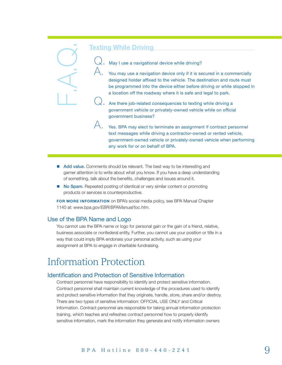$\mathbb Q$ , May I use a navigational device while driving?

You may use a navigation device only if it is secured in a commercially designed holder affixed to the vehicle. The destination and route must be programmed into the device either before driving or while stopped in a location off the roadway where it is safe and legal to park.

Are there job-related consequences to texting while driving a government vehicle or privately-owned vehicle while on official government business?

 $\bigtriangleup$ . Yes. BPA may elect to terminate an assignment if contract personnel text messages while driving a contractor-owned or rented vehicle, government-owned vehicle or privately-owned vehicle when performing any work for or on behalf of BPA.

- Add value. Comments should be relevant. The best way to be interesting and garner attention is to write about what you know. If you have a deep understanding of something, talk about the benefits, challenges and issues around it.
- No Spam. Repeated posting of identical or very similar content or promoting products or services is counterproductive.

FOR MORE INFORMATION on BPA's social media policy, see BPA Manual Chapter 1140 at: *www.bpa.gov/EBR/BPAManual/toc.htm*.

#### <span id="page-10-0"></span>Use of the BPA Name and Logo

You cannot use the BPA name or logo for personal gain or the gain of a friend, relative, business associate or nonfederal entity. Further, you cannot use your position or title in a way that could imply BPA endorses your personal activity, such as using your assignment at BPA to engage in charitable fundraising.

## <span id="page-10-1"></span>Information Protection

#### <span id="page-10-2"></span>Identification and Protection of Sensitive Information

Contract personnel have responsibility to identify and protect sensitive information. Contract personnel shall maintain current knowledge of the procedures used to identify and protect sensitive information that they originate, handle, store, share and/or destroy. There are two types of sensitive information: OFFICIAL USE ONLY and Critical Information. Contract personnel are responsible for taking annual information protection training, which teaches and refreshes contract personnel how to properly identify From the internal of the internal or the internal or the internal or the internal or the sensitive information of the reading the internal or the which is the internal or the internal or the internal or the internal or th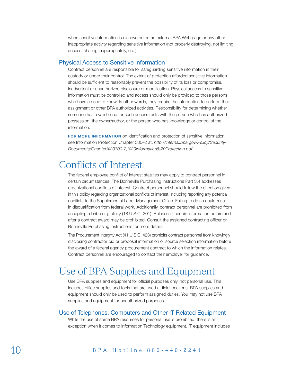when sensitive information is discovered on an external BPA Web page or any other inappropriate activity regarding sensitive information (not properly destroying, not limiting access, sharing inappropriately, etc.).

#### <span id="page-11-0"></span>Physical Access to Sensitive Information

Contract personnel are responsible for safeguarding sensitive information in their custody or under their control. The extent of protection afforded sensitive information should be sufficient to reasonably prevent the possibility of its loss or compromise, inadvertent or unauthorized disclosure or modification. Physical access to sensitive information must be controlled and access should only be provided to those persons who have a need to know. In other words, they require the information to perform their assignment or other BPA authorized activities. Responsibility for determining whether someone has a valid need for such access rests with the person who has authorized possession, the owner/author, or the person who has knowledge or control of the information.

FOR MORE INFORMATION on identification and protection of sensitive information, see Information Protection Chapter 300–2 at: *[http://internal.bpa.gov/Policy/Security/](http://internal.bpa.gov/Policy/Security/Documents/Chapter%20300-2,%20Information%20Protection.pdf) [Documents/Chapter%20300-2,%20Information%20Protection.pdf](http://internal.bpa.gov/Policy/Security/Documents/Chapter%20300-2,%20Information%20Protection.pdf)*.

## <span id="page-11-1"></span>Conflicts of Interest

The federal employee conflict of interest statutes may apply to contract personnel in certain circumstances. The Bonneville Purchasing Instructions Part 3.4 addresses organizational conflicts of interest. Contract personnel should follow the direction given in this policy regarding organizational conflicts of interest, including reporting any potential conflicts to the Supplemental Labor Management Office. Failing to do so could result in disqualification from federal work. Additionally, contract personnel are prohibited from accepting a bribe or gratuity (18 U.S.C. 201). Release of certain information before and after a contract award may be prohibited. Consult the assigned contracting officer or Bonneville Purchasing Instructions for more details.

The Procurement Integrity Act (41 U.S.C. 423) prohibits contract personnel from knowingly disclosing contractor bid or proposal information or source selection information before the award of a federal agency procurement contract to which the information relates. Contract personnel are encouraged to contact their employer for guidance.

## <span id="page-11-2"></span>Use of BPA Supplies and Equipment

Use BPA supplies and equipment for official purposes only, not personal use. This includes office supplies and tools that are used at field locations. BPA supplies and equipment should only be used to perform assigned duties. You may not use BPA supplies and equipment for unauthorized purposes.

#### Use of Telephones, Computers and Other IT-Related Equipment

While the use of some BPA resources for personal use is prohibited, there is an exception when it comes to Information Technology equipment. IT equipment includes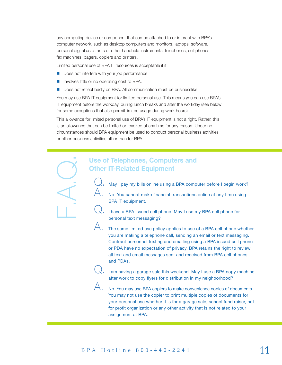any computing device or component that can be attached to or interact with BPA's computer network, such as desktop computers and monitors, laptops, software, personal digital assistants or other handheld instruments, telephones, cell phones, fax machines, pagers, copiers and printers.

Limited personal use of BPA IT resources is acceptable if it:

- Does not interfere with your job performance.
- **Involves little or no operating cost to BPA.**
- Does not reflect badly on BPA. All communication must be businesslike.

You may use BPA IT equipment for limited personal use. This means you can use BPA's IT equipment before the workday, during lunch breaks and after the workday (see below for some exceptions that also permit limited usage during work hours).

This allowance for limited personal use of BPA's IT equipment is not a right. Rather, this is an allowance that can be limited or revoked at any time for any reason. Under no circumstances should BPA equipment be used to conduct personal business activities or other business activities other than for BPA.

# Use of Telephones, Computers and<br>
Other IT-Related Equipment<br>  $Q$ . May I pay my bills online using a BPA computer<br>
A. No. You cannot make financial transactions<br>
BPA IT equipment.<br>
Q. Thave a BPA issued cell phone. May I u **Other IT-Related Equipment**

- May I pay my bills online using a BPA computer before I begin work?
- $\mathcal{A}.$  No. You cannot make financial transactions online at any time using BPA IT equipment.
	- $\langle$  . I have a BPA issued cell phone. May I use my BPA cell phone for personal text messaging?
- $\bigwedge$  The same limited use policy applies to use of a BPA cell phone whether you are making a telephone call, sending an email or text messaging. Contract personnel texting and emailing using a BPA issued cell phone or PDA have no expectation of privacy. BPA retains the right to review all text and email messages sent and received from BPA cell phones and PDAs.
	- $\langle$ . I am having a garage sale this weekend. May I use a BPA copy machine after work to copy flyers for distribution in my neighborhood?

A. No. You may use BPA copiers to make convenience copies of documents. You may not use the copier to print multiple copies of documents for your personal use whether it is for a garage sale, school fund raiser, not for profit organization or any other activity that is not related to your assignment at BPA.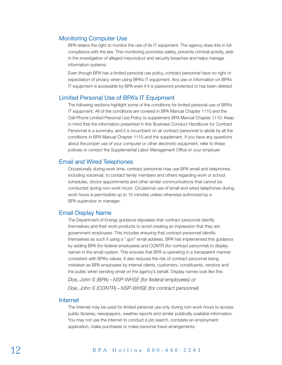#### Monitoring Computer Use

BPA retains the right to monitor the use of its IT equipment. The agency does this in full compliance with the law. This monitoring promotes safety, prevents criminal activity, aids in the investigation of alleged misconduct and security breaches and helps manage information systems.

Even though BPA has a limited personal use policy, contract personnel have no right or expectation of privacy when using BPA's IT equipment. Any use or information on BPA's IT equipment is accessible by BPA even if it is password-protected or has been deleted.

#### Limited Personal Use of BPA's IT Equipment

The following sections highlight some of the conditions for limited personal use of BPA's IT equipment. All of the conditions are covered in BPA Manual Chapter 1110 and the Cell Phone Limited Personal Use Policy to supplement BPA Manual Chapter 1110. Keep in mind that the information presented in this Business Conduct Handbook for Contract Personnel is a summary, and it is incumbent on all contract personnel to abide by all the conditions in BPA Manual Chapter 1110 and the supplement. If you have any questions about the proper use of your computer or other electronic equipment, refer to these policies or contact the Supplemental Labor Management Office or your employer.

#### Email and Wired Telephones

Occasionally during work time, contract personnel may use BPA email and telephones, including voicemail, to contact family members and others regarding work or school schedules, doctor appointments and other similar communications that cannot be conducted during non-work hours. Occasional use of email and wired telephones during work hours is permissible up to 10 minutes unless otherwise authorized by a BPA supervisor or manager.

#### Email Display Name

The Department of Energy guidance stipulates that contract personnel identify themselves and their work products to avoid creating an impression that they are government employees. This includes ensuring that contract personnel identify themselves as such if using a ".gov" email address. BPA has implemented this guidance by adding BPA (for federal employees) and CONTR (for contract personnel) to display names in the email system. This ensures that BPA is operating in a transparent manner consistent with BPA's values. It also reduces the risk of contract personnel being mistaken as BPA employees by internal clients, customers, constituents, vendors and the public when sending email on the agency's behalf. Display names look like this:

*Doe, John S (BPA) – NSP-WHSE (for federal employees) or Doe, John S (CONTR) – NSP-WHSE (for contract personnel)* 

#### Internet

The Internet may be used for limited personal use only during non-work hours to access public libraries, newspapers, weather reports and similar publically available information. You may not use the Internet to conduct a job search, complete an employment application, make purchases or make personal travel arrangements.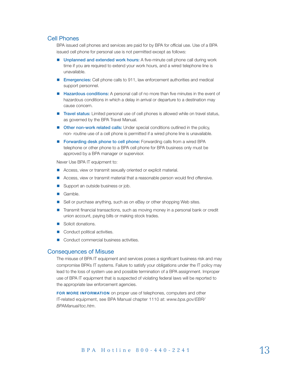### Cell Phones

BPA issued cell phones and services are paid for by BPA for official use. Use of a BPA issued cell phone for personal use is not permitted except as follows:

- **Unplanned and extended work hours:** A five-minute cell phone call during work time if you are required to extend your work hours, and a wired telephone line is unavailable.
- **Emergencies:** Cell phone calls to 911, law enforcement authorities and medical support personnel.
- **Hazardous conditions:** A personal call of no more than five minutes in the event of hazardous conditions in which a delay in arrival or departure to a destination may cause concern.
- Travel status: Limited personal use of cell phones is allowed while on travel status, as governed by the BPA Travel Manual.
- **Duma Duma Duma Arms related calls:** Under special conditions outlined in the policy, non- routine use of a cell phone is permitted if a wired phone line is unavailable.
- Forwarding desk phone to cell phone: Forwarding calls from a wired BPA telephone or other phone to a BPA cell phone for BPA business only must be approved by a BPA manager or supervisor.

Never Use BPA IT equipment to:

- Access, view or transmit sexually oriented or explicit material.
- **Access, view or transmit material that a reasonable person would find offensive.**
- Support an outside business or job.
- Gamble.
- Sell or purchase anything, such as on eBay or other shopping Web sites.
- **T** Transmit financial transactions, such as moving money in a personal bank or credit union account, paying bills or making stock trades.
- Solicit donations.
- Conduct political activities.
- Conduct commercial business activities.

#### Consequences of Misuse

The misuse of BPA IT equipment and services poses a significant business risk and may compromise BPA's IT systems. Failure to satisfy your obligations under the IT policy may lead to the loss of system use and possible termination of a BPA assignment. Improper use of BPA IT equipment that is suspected of violating federal laws will be reported to the appropriate law enforcement agencies.

FOR MORE INFORMATION on proper use of telephones, computers and other IT-related equipment, see BPA Manual chapter 1110 at: *[www.bpa.gov/EBR/](http://www.bpa.gov/EBR/BPAManual/toc.htm) [BPAManual/toc.htm](http://www.bpa.gov/EBR/BPAManual/toc.htm)*.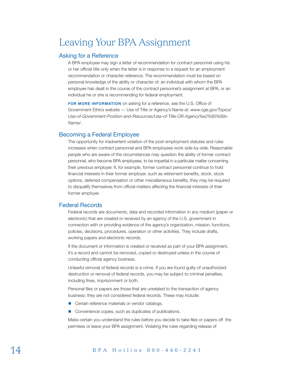# <span id="page-15-0"></span>Leaving Your BPA Assignment

#### <span id="page-15-1"></span>Asking for a Reference

A BPA employee may sign a letter of recommendation for contract personnel using his or her official title only when the letter is in response to a request for an employment recommendation or character reference. The recommendation must be based on personal knowledge of the ability or character of: an individual with whom the BPA employee has dealt in the course of the contract personnel's assignment at BPA, or an individual he or she is recommending for federal employment.

FOR MORE INFORMATION on asking for a reference, see the U.S. Office of Government Ethics website — Use of Title or Agency's Name at: *[www.oge.gov/Topics/](http://www.oge.gov/Topics/Topics/) Use-of-Government-Position-and-Resources/Use-of-Title-OR-Agency%e2%80%99s-Name/*.

#### <span id="page-15-2"></span>Becoming a Federal Employee

The opportunity for inadvertent violation of the post-employment statutes and rules increases when contract personnel and BPA employees work side-by-side. Reasonable people who are aware of the circumstances may question the ability of former contract personnel, who become BPA employees, to be impartial in a particular matter concerning their previous employer. If, for example, former contract personnel continue to hold financial interests in their former employer, such as retirement benefits, stock, stock options, deferred compensation or other miscellaneous benefits, they may be required to disqualify themselves from official matters affecting the financial interests of their former employer.

## <span id="page-15-3"></span>Federal Records

Federal records are documents, data and recorded information in any medium (paper or electronic) that are created or received by an agency of the U.S. government in connection with or providing evidence of the agency's organization, mission, functions, policies, decisions, procedures, operation or other activities. They include drafts, working papers and electronic records.

If the document or information is created or received as part of your BPA assignment, it's a record and cannot be removed, copied or destroyed unless in the course of conducting official agency business.

Unlawful removal of federal records is a crime. If you are found guilty of unauthorized destruction or removal of federal records, you may be subject to criminal penalties, including fines, imprisonment or both.

Personal files or papers are those that are unrelated to the transaction of agency business: they are not considered federal records. These may include:

- Certain reference materials or vendor catalogs.
- Convenience copies, such as duplicates of publications.

Make certain you understand the rules before you decide to take files or papers off the permises or leave your BPA assignment. Violating the rules regarding release of

## 14 BPA Hotline 800-440-2241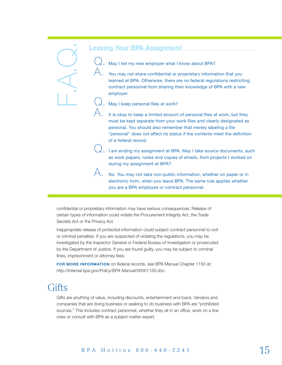May I tell my new employer what I know about BPA?

You may not share confidential or proprietary information that you learned at BPA. Otherwise, there are no federal regulations restricting contract personnel from sharing their knowledge of BPA with a new employer.

May I keep personal files at work?

It is okay to keep a limited amount of personal files at work, but they must be kept separate from your work files and clearly designated as personal. You should also remember that merely labeling a file "personal" does not affect its status if the contents meet the definition of a federal record.

 $\downarrow$  . I am ending my assignment at BPA. May I take source documents, such as work papers, notes and copies of emails, from projects I worked on during my assignment at BPA?

A. No. You may not take non-public information, whether on paper or in electronic form, when you leave BPA. The same rule applies whether you are a BPA employee or contract personnel.

confidential or proprietary information may have serious consequences. Release of certain types of information could violate the Procurement Integrity Act, the Trade Secrets Act or the Privacy Act.

Inappropriate release of protected information could subject contract personnel to civil or criminal penalties. If you are suspected of violating the regulations, you may be investigated by the Inspector General or Federal Bureau of Investigation or prosecuted by the Department of Justice. If you are found guilty, you may be subject to criminal fines, imprisonment or attorney fees. caving Your BPA Assignment<br>
(C). May itell my new employer what it and the summer of the state conflecting or presented at BPA. Otherwise, there are contract personal files at work?<br>
(A) May itele personal files at work?<br>

FOR MORE INFORMATION on federal records, see BPA Manual Chapter 1150 at: *<http://internal.bpa.gov/Policy/BPA Manual/00001150.doc>*.

## <span id="page-16-0"></span>**Gifts**

Gifts are anything of value, including discounts, entertainment and loans. Vendors and companies that are doing business or seeking to do business with BPA are "prohibited sources." This includes contract personnel, whether they sit in an office, work on a line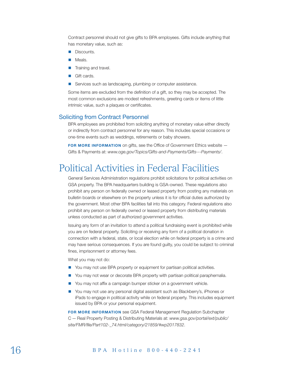Contract personnel should not give gifts to BPA employees. Gifts include anything that has monetary value, such as:

- **Discounts.**
- **Meals.**
- $\blacksquare$  Training and travel.
- Gift cards.
- Services such as landscaping, plumbing or computer assistance.

Some items are excluded from the definition of a gift, so they may be accepted. The most common exclusions are modest refreshments, greeting cards or items of little intrinsic value, such a plaques or certificates.

#### Soliciting from Contract Personnel

BPA employees are prohibited from soliciting anything of monetary value either directly or indirectly from contract personnel for any reason. This includes special occasions or one-time events such as weddings, retirements or baby showers.

FOR MORE INFORMATION on gifts, see the Office of Government Ethics website — Gifts & Payments at: *[www.oge.gov/Topics/G](http://www.oge.gov/Topics/Topics/)ifts-and-Payments/Gifts---Payments/*.

## <span id="page-17-0"></span>Political Activities in Federal Facilities

General Services Administration regulations prohibit solicitations for political activities on GSA property. The BPA headquarters building is GSA-owned. These regulations also prohibit any person on federally owned or leased property from posting any materials on bulletin boards or elsewhere on the property unless it is for official duties authorized by the government. Most other BPA facilities fall into this category. Federal regulations also prohibit any person on federally owned or leased property from distributing materials unless conducted as part of authorized government activities.

Issuing any form of an invitation to attend a political fundraising event is prohibited while you are on federal property. Soliciting or receiving any form of a political donation in connection with a federal, state, or local election while on federal property is a crime and may have serious consequences. If you are found guilty, you could be subject to criminal fines, imprisonment or attorney fees.

What you may not do:

- You may not use BPA property or equipment for partisan political activities.
- You may not wear or decorate BPA property with partisan political paraphernalia.
- You may not affix a campaign bumper sticker on a government vehicle.
- You may not use any personal digital assistant such as Blackberry's, iPhones or iPads to engage in political activity while on federal property. This includes equipment issued by BPA or your personal equipment.

FOR MORE INFORMATION see GSA Federal Management Regulation Subchapter C — Real Property Posting & Distributing Materials at: *[www.gsa.gov/portal/ext/public/](http://www.gsa.gov/portal/ext/public/site/FMR/file/Part102-_74.html/category/21859/#wp2017832) [site/FMR/file/Part102-\\_74.html/category/21859/#wp2017832](http://www.gsa.gov/portal/ext/public/site/FMR/file/Part102-_74.html/category/21859/#wp2017832)*.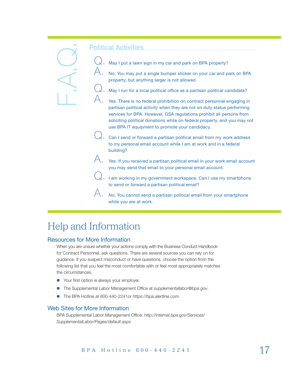May I put a lawn sign in my car and park on BPA property?

 $\bigtriangleup$  ,  $\;\;$  No. You may put a single bumper sticker on your car and park on BPA property, but anything larger is not allowed

May I run for a local political office as a partisan political candidate?

Yes. There is no federal prohibition on contract personnel engaging in partisan political activity when they are not on duty status performing services for BPA. However, GSA regulations prohibit all persons from soliciting political donations while on federal property, and you may not use BPA IT equipment to promote your candidacy.

 $\bigcup$ , Can I send or forward a partisan political email from my work address to my personal email account while I am at work and in a federal building?

 $\bigtriangleup$ , Yes. If you received a partisan political email in your work email account you may send that email to your personal email account.

 $\lambda$ . I am working in my government workspace. Can I use my smartphone to send or forward a partisan political email?

A. No. You cannot send a partisan political email from your smartphone while you are at work.

# <span id="page-18-0"></span>Help and Information

## Resources for More Information

When you are unsure whether your actions comply with the Business Conduct Handbook for Contract Personnel, ask questions. There are several sources you can rely on for guidance. If you suspect misconduct or have questions, choose the option from the following list that you feel the most comfortable with or feel most appropriately matches the circumstances. **Political Activities**<br>  $\alpha$ , May I put a lawn<br>  $\beta$ , No. You may put<br>
property, but any<br>  $\alpha$ , May I run for a log<br>  $\beta$ , May I run for a log<br>  $\beta$ , May I run for a log<br>  $\beta$ , May I run for a log<br>  $\beta$ , May I run for a lo

- Your first option is always your employer.
- The Supplemental Labor Management Office at *[supplementallabor@bpa.gov](mailto:supplementallabor%40bpa.gov?subject=)*.
- The BPA Hotline at 800-440-2241or *<https://bpa.alertline.com>.*

## <span id="page-18-1"></span>Web Sites for More Information

BPA Supplemental Labor Management Office: *[http://internal.bpa.gov/Services/](http://internal.bpa.gov/Services/SupplementalLabor/Pages/default.aspx)*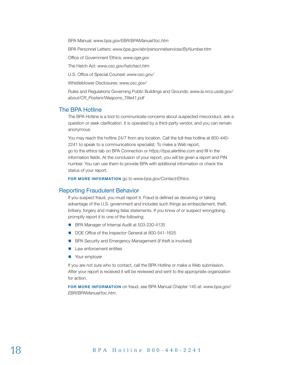BPA Manual: *[www.bpa.gov/EBR/BPAManual/toc.htm](http://www.bpa.gov/EBR/BPAManual/toc.htm)*

BPA Personnel Letters: *<www.bpa.gov/ebr/personnelservices/ByNumber.htm>*

Office of Government Ethics: *[www.oge.gov](http://www.oge.gov)*

The Hatch Act: *[www.osc.gov/hatchact.htm](http://www.osc.gov/hatchact.htm)*

U.S. Office of Special Counsel: *[www.osc.gov/](http://www.osc.gov/)*

Whistleblower Disclosures: *[www.osc.gov/](http://www.osc.gov/)*

Rules and Regulations Governing Public Buildings and Grounds: *[www.la.nrcs.usda.gov/](http://www.la.nrcs.usda.gov/about/CR_Posters/Weapons_Title41.pdf) [about/CR\\_Posters/Weapons\\_Title41.pdf](http://www.la.nrcs.usda.gov/about/CR_Posters/Weapons_Title41.pdf)*

#### <span id="page-19-0"></span>The BPA Hotline

The BPA Hotline is a tool to communicate concerns about suspected misconduct, ask a question or seek clarification. It is operated by a third-party vendor, and you can remain anonymous.

You may reach the hotline 24/7 from any location. Call the toll-free hotline at 800-440- 2241 to speak to a communications specialist. To make a Web report, go to the ethics tab on BPA Connection or *<https://bpa.alertline.com>* and fill in the information fields. At the conclusion of your report, you will be given a report and PIN number. You can use them to provide BPA with additional information or check the status of your report.

FOR MORE INFORMATION go to *www.bpa.gov/Contact/Ethics*.

#### <span id="page-19-1"></span>Reporting Fraudulent Behavior

If you suspect fraud, you must report it. Fraud is defined as deceiving or taking advantage of the U.S. government and includes such things as embezzlement, theft, bribery, forgery and making false statements. If you know of or suspect wrongdoing, promptly report it to one of the following:

- BPA Manager of Internal Audit at 503-230-4135
- DOE Office of the Inspector General at 800-541-1625
- **BPA Security and Emergency Management (if theft is involved)**
- **Law enforcement entities**
- **Nour employer**

If you are not sure who to contact, call the BPA Hotline or make a Web submission. After your report is received it will be reviewed and sent to the appropriate organization for action.

FOR MORE INFORMATION on fraud, see BPA Manual Chapter 145 at: *[www.bpa.gov/](http://www.bpa.gov/EBR/BPAManual/toc.htm) [EBR/BPAManual/toc.htm](http://www.bpa.gov/EBR/BPAManual/toc.htm)*.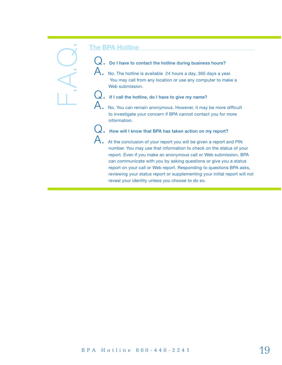# Q. Do I have to contact the hotline during business hours?

 $\mathsf A_\centerdot$  No. The hotline is available 24 hours a day, 365 days a year. You may call from any location or use any computer to make a Web submission.

# Q. If I call the hotline, do I have to give my name?

 $\mathsf{A}.~$  No. You can remain anonymous. However, it may be more difficult to investigate your concern if BPA cannot contact you for more information.

Q. How will I know that BPA has taken action on my report?

The BPA Hotline<br>
C. Columbus to contact the building during business hounce?<br>
A. No The collision exciting the signalistic and the contact the results of a<br>
Vocarne collision and social contact the results of a<br>
U. If I ca  $\mathsf A_\centerdot$  At the conclusion of your report you will be given a report and PIN number. You may use that information to check on the status of your report. Even if you make an anonymous call or Web submission, BPA can communicate with you by asking questions or give you a status report on your call or Web report. Responding to questions BPA asks, reviewing your status report or supplementing your initial report will not reveal your identity unless you choose to do so.